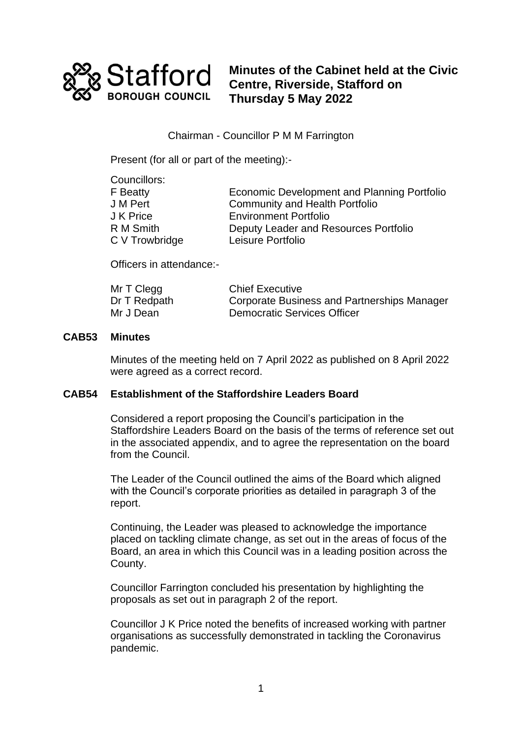

**Minutes of the Cabinet held at the Civic Centre, Riverside, Stafford on Thursday 5 May 2022**

Chairman - Councillor P M M Farrington

Present (for all or part of the meeting):-

| Councillors:   |                                             |
|----------------|---------------------------------------------|
| F Beatty       | Economic Development and Planning Portfolio |
| J M Pert       | <b>Community and Health Portfolio</b>       |
| J K Price      | <b>Environment Portfolio</b>                |
| R M Smith      | Deputy Leader and Resources Portfolio       |
| C V Trowbridge | Leisure Portfolio                           |

Officers in attendance:-

| Mr T Clegg   | <b>Chief Executive</b>                      |
|--------------|---------------------------------------------|
| Dr T Redpath | Corporate Business and Partnerships Manager |
| Mr J Dean    | <b>Democratic Services Officer</b>          |

## **CAB53 Minutes**

Minutes of the meeting held on 7 April 2022 as published on 8 April 2022 were agreed as a correct record.

## **CAB54 Establishment of the Staffordshire Leaders Board**

Considered a report proposing the Council's participation in the Staffordshire Leaders Board on the basis of the terms of reference set out in the associated appendix, and to agree the representation on the board from the Council.

The Leader of the Council outlined the aims of the Board which aligned with the Council's corporate priorities as detailed in paragraph 3 of the report.

Continuing, the Leader was pleased to acknowledge the importance placed on tackling climate change, as set out in the areas of focus of the Board, an area in which this Council was in a leading position across the County.

Councillor Farrington concluded his presentation by highlighting the proposals as set out in paragraph 2 of the report.

Councillor J K Price noted the benefits of increased working with partner organisations as successfully demonstrated in tackling the Coronavirus pandemic.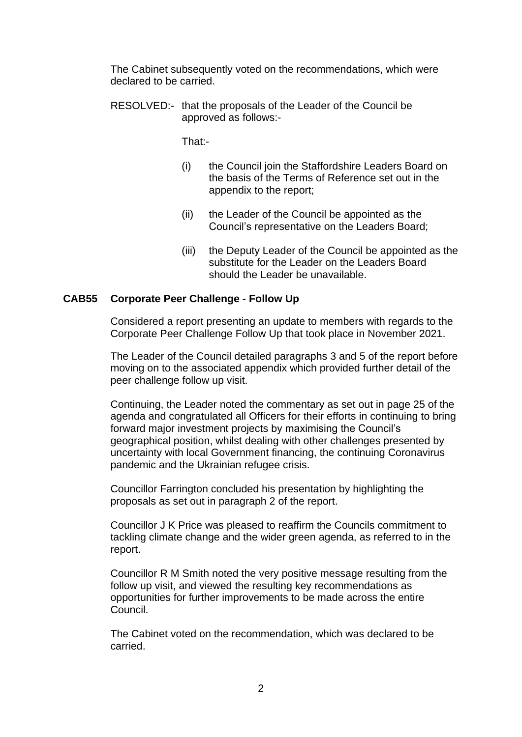The Cabinet subsequently voted on the recommendations, which were declared to be carried.

RESOLVED:- that the proposals of the Leader of the Council be approved as follows:-

That:-

- (i) the Council join the Staffordshire Leaders Board on the basis of the Terms of Reference set out in the appendix to the report;
- (ii) the Leader of the Council be appointed as the Council's representative on the Leaders Board;
- (iii) the Deputy Leader of the Council be appointed as the substitute for the Leader on the Leaders Board should the Leader be unavailable.

## **CAB55 Corporate Peer Challenge - Follow Up**

Considered a report presenting an update to members with regards to the Corporate Peer Challenge Follow Up that took place in November 2021.

The Leader of the Council detailed paragraphs 3 and 5 of the report before moving on to the associated appendix which provided further detail of the peer challenge follow up visit.

Continuing, the Leader noted the commentary as set out in page 25 of the agenda and congratulated all Officers for their efforts in continuing to bring forward major investment projects by maximising the Council's geographical position, whilst dealing with other challenges presented by uncertainty with local Government financing, the continuing Coronavirus pandemic and the Ukrainian refugee crisis.

Councillor Farrington concluded his presentation by highlighting the proposals as set out in paragraph 2 of the report.

Councillor J K Price was pleased to reaffirm the Councils commitment to tackling climate change and the wider green agenda, as referred to in the report.

Councillor R M Smith noted the very positive message resulting from the follow up visit, and viewed the resulting key recommendations as opportunities for further improvements to be made across the entire Council.

The Cabinet voted on the recommendation, which was declared to be carried.